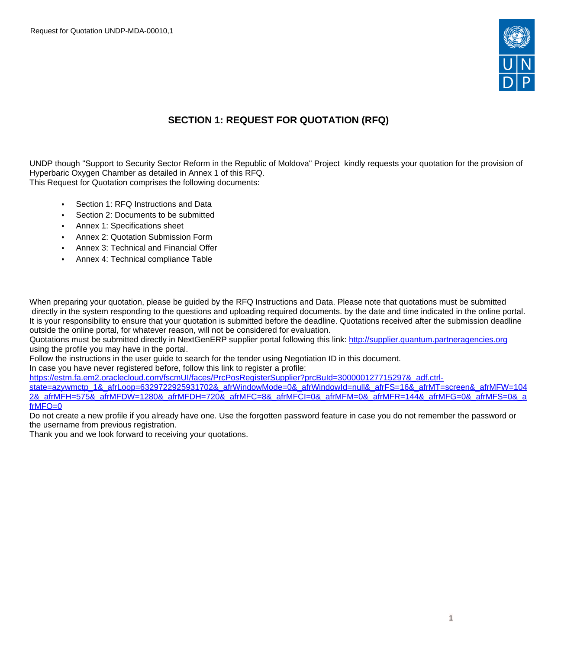

# **SECTION 1: REQUEST FOR QUOTATION (RFQ)**

UNDP though "Support to Security Sector Reform in the Republic of Moldova" Project kindly requests your quotation for the provision of Hyperbaric Oxygen Chamber as detailed in Annex 1 of this RFQ. This Request for Quotation comprises the following documents:

- Section 1: RFQ Instructions and Data
- Section 2: Documents to be submitted
- Annex 1: Specifications sheet
- Annex 2: Quotation Submission Form
- Annex 3: Technical and Financial Offer
- Annex 4: Technical compliance Table

When preparing your quotation, please be guided by the RFQ Instructions and Data. Please note that quotations must be submitted directly in the system responding to the questions and uploading required documents. by the date and time indicated in the online portal. It is your responsibility to ensure that your quotation is submitted before the deadline. Quotations received after the submission deadline outside the online portal, for whatever reason, will not be considered for evaluation.

Quotations must be submitted directly in NextGenERP supplier portal following this link: <http://supplier.quantum.partneragencies.org> using the profile you may have in the portal.

Follow the instructions in the user guide to search for the tender using Negotiation ID in this document.

In case you have never registered before, follow this link to register a profile:

[https://estm.fa.em2.oraclecloud.com/fscmUI/faces/PrcPosRegisterSupplier?prcBuId=300000127715297&\\_adf.ctrl-](https://estm.fa.em2.oraclecloud.com/fscmUI/faces/PrcPosRegisterSupplier?prcBuId=300000127715297&_adf.ctrl-state=azywmctp_1&_afrLoop=6329722925931702&_afrWindowMode=0&_afrWindowId=null&_afrFS=16&_afrMT=screen&_afrMFW=1042&_afrMFH=575&_afrMFDW=1280&_afrMFDH=720&_afrMFC=8&_afrMFCI=0&_afrMFM=0&_afrMFR=144&_afrMFG=0&_afrMFS=0&_afrMFO=0)

[state=azywmctp\\_1&\\_afrLoop=6329722925931702&\\_afrWindowMode=0&\\_afrWindowId=null&\\_afrFS=16&\\_afrMT=screen&\\_afrMFW=104](https://estm.fa.em2.oraclecloud.com/fscmUI/faces/PrcPosRegisterSupplier?prcBuId=300000127715297&_adf.ctrl-state=azywmctp_1&_afrLoop=6329722925931702&_afrWindowMode=0&_afrWindowId=null&_afrFS=16&_afrMT=screen&_afrMFW=1042&_afrMFH=575&_afrMFDW=1280&_afrMFDH=720&_afrMFC=8&_afrMFCI=0&_afrMFM=0&_afrMFR=144&_afrMFG=0&_afrMFS=0&_afrMFO=0) [2&\\_afrMFH=575&\\_afrMFDW=1280&\\_afrMFDH=720&\\_afrMFC=8&\\_afrMFCI=0&\\_afrMFM=0&\\_afrMFR=144&\\_afrMFG=0&\\_afrMFS=0&\\_a](https://estm.fa.em2.oraclecloud.com/fscmUI/faces/PrcPosRegisterSupplier?prcBuId=300000127715297&_adf.ctrl-state=azywmctp_1&_afrLoop=6329722925931702&_afrWindowMode=0&_afrWindowId=null&_afrFS=16&_afrMT=screen&_afrMFW=1042&_afrMFH=575&_afrMFDW=1280&_afrMFDH=720&_afrMFC=8&_afrMFCI=0&_afrMFM=0&_afrMFR=144&_afrMFG=0&_afrMFS=0&_afrMFO=0) [frMFO=0](https://estm.fa.em2.oraclecloud.com/fscmUI/faces/PrcPosRegisterSupplier?prcBuId=300000127715297&_adf.ctrl-state=azywmctp_1&_afrLoop=6329722925931702&_afrWindowMode=0&_afrWindowId=null&_afrFS=16&_afrMT=screen&_afrMFW=1042&_afrMFH=575&_afrMFDW=1280&_afrMFDH=720&_afrMFC=8&_afrMFCI=0&_afrMFM=0&_afrMFR=144&_afrMFG=0&_afrMFS=0&_afrMFO=0)

Do not create a new profile if you already have one. Use the forgotten password feature in case you do not remember the password or the username from previous registration.

Thank you and we look forward to receiving your quotations.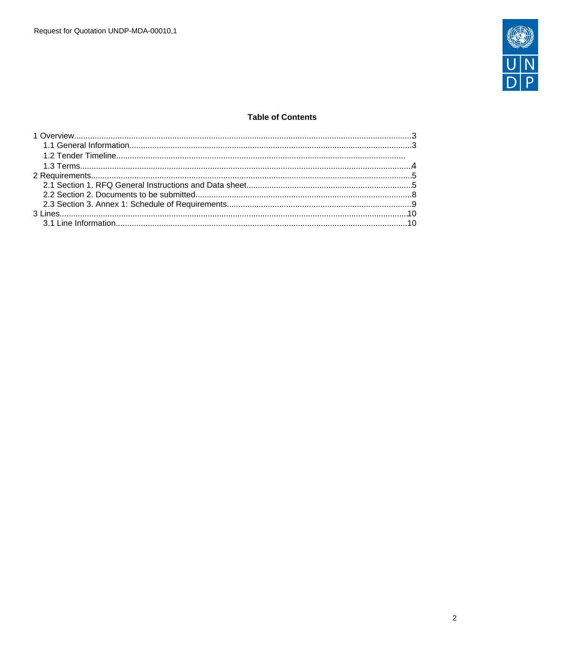

### **Table of Contents**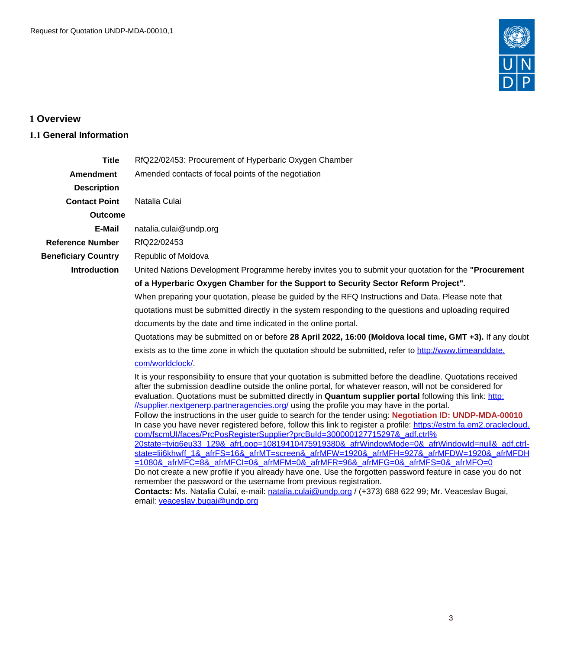

# <span id="page-2-0"></span>**1 Overview**

### <span id="page-2-1"></span>**1.1 General Information**

| <b>Title</b>               | RfQ22/02453: Procurement of Hyperbaric Oxygen Chamber                                                                                                                                                                                                                                                                                                                                                                            |  |  |  |  |  |
|----------------------------|----------------------------------------------------------------------------------------------------------------------------------------------------------------------------------------------------------------------------------------------------------------------------------------------------------------------------------------------------------------------------------------------------------------------------------|--|--|--|--|--|
| <b>Amendment</b>           | Amended contacts of focal points of the negotiation                                                                                                                                                                                                                                                                                                                                                                              |  |  |  |  |  |
|                            |                                                                                                                                                                                                                                                                                                                                                                                                                                  |  |  |  |  |  |
| <b>Description</b>         |                                                                                                                                                                                                                                                                                                                                                                                                                                  |  |  |  |  |  |
| <b>Contact Point</b>       | Natalia Culai                                                                                                                                                                                                                                                                                                                                                                                                                    |  |  |  |  |  |
| <b>Outcome</b>             |                                                                                                                                                                                                                                                                                                                                                                                                                                  |  |  |  |  |  |
| E-Mail                     | natalia.culai@undp.org                                                                                                                                                                                                                                                                                                                                                                                                           |  |  |  |  |  |
| <b>Reference Number</b>    | RfQ22/02453                                                                                                                                                                                                                                                                                                                                                                                                                      |  |  |  |  |  |
| <b>Beneficiary Country</b> | Republic of Moldova                                                                                                                                                                                                                                                                                                                                                                                                              |  |  |  |  |  |
| <b>Introduction</b>        | United Nations Development Programme hereby invites you to submit your quotation for the "Procurement"                                                                                                                                                                                                                                                                                                                           |  |  |  |  |  |
|                            | of a Hyperbaric Oxygen Chamber for the Support to Security Sector Reform Project".                                                                                                                                                                                                                                                                                                                                               |  |  |  |  |  |
|                            | When preparing your quotation, please be guided by the RFQ Instructions and Data. Please note that                                                                                                                                                                                                                                                                                                                               |  |  |  |  |  |
|                            | quotations must be submitted directly in the system responding to the questions and uploading required                                                                                                                                                                                                                                                                                                                           |  |  |  |  |  |
|                            | documents by the date and time indicated in the online portal.                                                                                                                                                                                                                                                                                                                                                                   |  |  |  |  |  |
|                            | Quotations may be submitted on or before 28 April 2022, 16:00 (Moldova local time, GMT +3). If any doubt                                                                                                                                                                                                                                                                                                                         |  |  |  |  |  |
|                            | exists as to the time zone in which the quotation should be submitted, refer to http://www.timeanddate.                                                                                                                                                                                                                                                                                                                          |  |  |  |  |  |
|                            | com/worldclock/.                                                                                                                                                                                                                                                                                                                                                                                                                 |  |  |  |  |  |
|                            | It is your responsibility to ensure that your quotation is submitted before the deadline. Quotations received<br>after the submission deadline outside the online portal, for whatever reason, will not be considered for<br>evaluation. Quotations must be submitted directly in Quantum supplier portal following this link: http:<br>//supplier.nextgenerp.partneragencies.org/ using the profile you may have in the portal. |  |  |  |  |  |
|                            | Follow the instructions in the user guide to search for the tender using: Negotiation ID: UNDP-MDA-00010                                                                                                                                                                                                                                                                                                                         |  |  |  |  |  |
|                            | In case you have never registered before, follow this link to register a profile: https://estm.fa.em2.oraclecloud.                                                                                                                                                                                                                                                                                                               |  |  |  |  |  |
|                            | com/fscmUI/faces/PrcPosRegisterSupplier?prcBuId=300000127715297& adf.ctrl%<br>20state=tvig6eu33 129& afrLoop=10819410475919380& afrWindowMode=0& afrWindowId=null& adf.ctrl-                                                                                                                                                                                                                                                     |  |  |  |  |  |
|                            | state=lii6khwff 1& afrFS=16& afrMT=screen& afrMFW=1920& afrMFH=927& afrMFDW=1920& afrMFDH                                                                                                                                                                                                                                                                                                                                        |  |  |  |  |  |
|                            | =1080& afrMFC=8& afrMFCI=0& afrMFM=0& afrMFR=96& afrMFG=0& afrMFS=0& afrMFO=0                                                                                                                                                                                                                                                                                                                                                    |  |  |  |  |  |
|                            | Do not create a new profile if you already have one. Use the forgotten password feature in case you do not                                                                                                                                                                                                                                                                                                                       |  |  |  |  |  |
|                            | remember the password or the username from previous registration.                                                                                                                                                                                                                                                                                                                                                                |  |  |  |  |  |
|                            | Contacts: Ms. Natalia Culai, e-mail: natalia.culai@undp.org / (+373) 688 622 99; Mr. Veaceslav Bugai,                                                                                                                                                                                                                                                                                                                            |  |  |  |  |  |
|                            | email: veaceslav.bugai@undp.org                                                                                                                                                                                                                                                                                                                                                                                                  |  |  |  |  |  |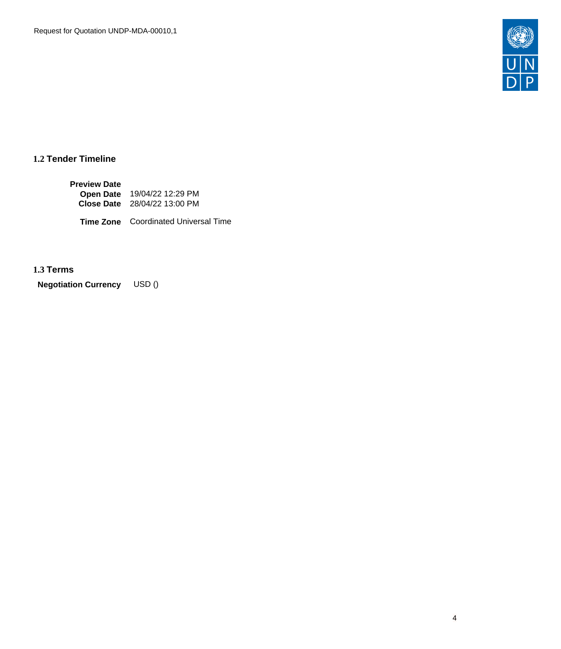

## **1.2 Tender Timeline**

| <b>Preview Date</b> |                                     |
|---------------------|-------------------------------------|
|                     | Open Date 19/04/22 12:29 PM         |
|                     | <b>Close Date</b> 28/04/22 13:00 PM |

**Time Zone** Coordinated Universal Time

## <span id="page-3-0"></span>**1.3 Terms**

**Negotiation Currency** USD ()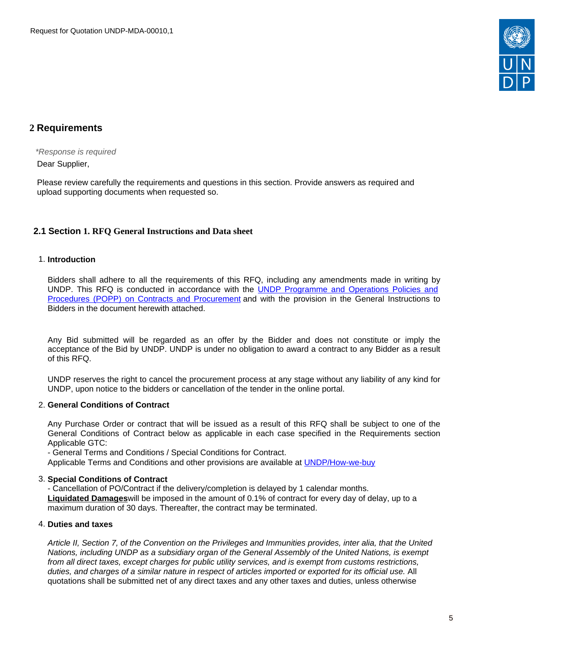

## <span id="page-4-0"></span>**2 Requirements**

\*Response is required Dear Supplier,

Please review carefully the requirements and questions in this section. Provide answers as required and upload supporting documents when requested so.

### <span id="page-4-1"></span>**2.1 Section 1. RFQ General Instructions and Data sheet**

#### 1. **Introduction**

Bidders shall adhere to all the requirements of this RFQ, including any amendments made in writing by UNDP. This RFQ is conducted in accordance with the UNDP [Programme](https://popp.undp.org/SitePages/POPPBSUnit.aspx?TermID=254a9f96-b883-476a-8ef8-e81f93a2b38d&Menu=BusinessUnit) and Operations Policies and Procedures (POPP) on Contracts and [Procurement](https://popp.undp.org/SitePages/POPPBSUnit.aspx?TermID=254a9f96-b883-476a-8ef8-e81f93a2b38d&Menu=BusinessUnit) and with the provision in the General Instructions to Bidders in the document herewith attached.

Any Bid submitted will be regarded as an offer by the Bidder and does not constitute or imply the acceptance of the Bid by UNDP. UNDP is under no obligation to award a contract to any Bidder as a result of this RFQ.

UNDP reserves the right to cancel the procurement process at any stage without any liability of any kind for UNDP, upon notice to the bidders or cancellation of the tender in the online portal.

#### 2. **General Conditions of Contract**

Any Purchase Order or contract that will be issued as a result of this RFQ shall be subject to one of the General Conditions of Contract below as applicable in each case specified in the Requirements section Applicable GTC:

- General Terms and Conditions / Special Conditions for Contract.

Applicable Terms and Conditions and other provisions are available at [UNDP/How-we-buy](http://www.undp.org/content/undp/en/home/procurement/business/how-we-buy.html)

#### 3. **Special Conditions of Contract**

- Cancellation of PO/Contract if the delivery/completion is delayed by 1 calendar months. **Liquidated Damages**will be imposed in the amount of 0.1% of contract for every day of delay, up to a maximum duration of 30 days. Thereafter, the contract may be terminated.

#### 4. **Duties and taxes**

Article II, Section 7, of the Convention on the Privileges and Immunities provides, inter alia, that the United Nations, including UNDP as a subsidiary organ of the General Assembly of the United Nations, is exempt from all direct taxes, except charges for public utility services, and is exempt from customs restrictions, duties, and charges of a similar nature in respect of articles imported or exported for its official use. All quotations shall be submitted net of any direct taxes and any other taxes and duties, unless otherwise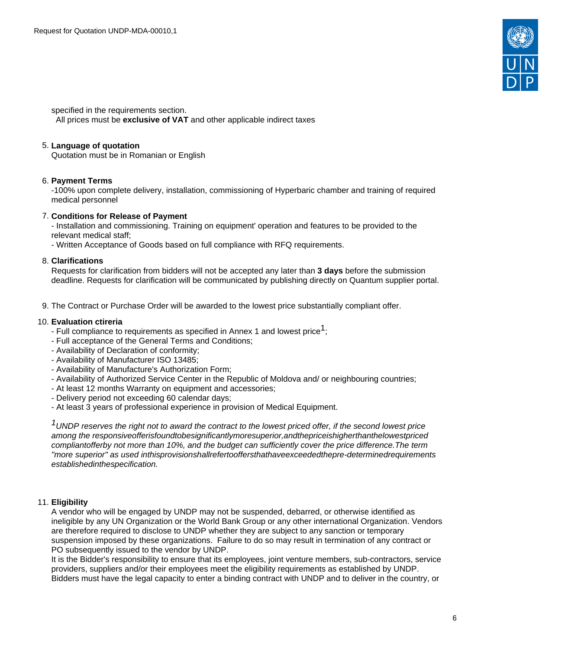

specified in the requirements section.

All prices must be **exclusive of VAT** and other applicable indirect taxes

#### 5. **Language of quotation**

Quotation must be in Romanian or English

#### 6. **Payment Terms**

-100% upon complete delivery, installation, commissioning of Hyperbaric chamber and training of required medical personnel

#### 7. **Conditions for Release of Payment**

- Installation and commissioning. Training on equipment' operation and features to be provided to the relevant medical staff;

- Written Acceptance of Goods based on full compliance with RFQ requirements.

#### 8. **Clarifications**

Requests for clarification from bidders will not be accepted any later than **3 days** before the submission deadline. Requests for clarification will be communicated by publishing directly on Quantum supplier portal.

9. The Contract or Purchase Order will be awarded to the lowest price substantially compliant offer.

#### 10. **Evaluation ctireria**

- $-$  Full compliance to requirements as specified in Annex 1 and lowest price<sup>1</sup>;
- Full acceptance of the General Terms and Conditions;
- Availability of Declaration of conformity;
- Availability of Manufacturer ISO 13485;
- Availability of Manufacture's Authorization Form;
- Availability of Authorized Service Center in the Republic of Moldova and/ or neighbouring countries;
- At least 12 months Warranty on equipment and accessories;
- Delivery period not exceeding 60 calendar days;
- At least 3 years of professional experience in provision of Medical Equipment.

 $1$ UNDP reserves the right not to award the contract to the lowest priced offer, if the second lowest price among the responsiveofferisfoundtobesignificantlymoresuperior,andthepriceishigherthanthelowestpriced compliantofferby not more than 10%, and the budget can sufficiently cover the price difference.The term "more superior" as used inthisprovisionshallrefertooffersthathaveexceededthepre-determinedrequirements establishedinthespecification.

#### 11. **Eligibility**

A vendor who will be engaged by UNDP may not be suspended, debarred, or otherwise identified as ineligible by any UN Organization or the World Bank Group or any other international Organization. Vendors are therefore required to disclose to UNDP whether they are subject to any sanction or temporary suspension imposed by these organizations. Failure to do so may result in termination of any contract or PO subsequently issued to the vendor by UNDP.

It is the Bidder's responsibility to ensure that its employees, joint venture members, sub-contractors, service providers, suppliers and/or their employees meet the eligibility requirements as established by UNDP. Bidders must have the legal capacity to enter a binding contract with UNDP and to deliver in the country, or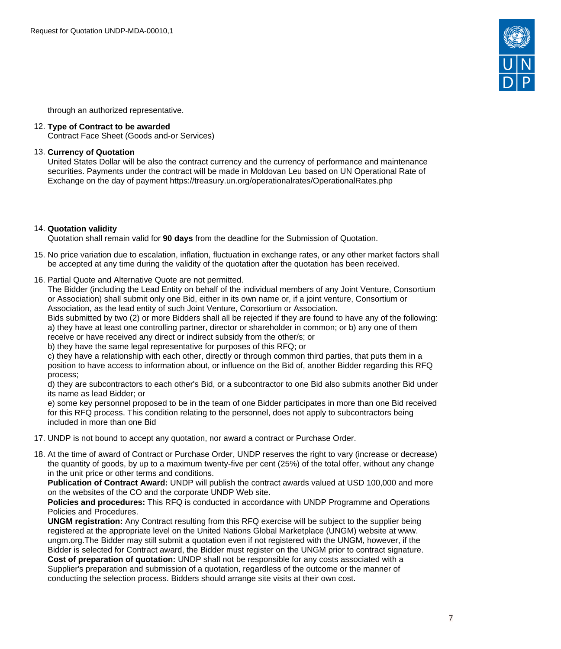

through an authorized representative.

#### 12. **Type of Contract to be awarded**

Contract Face Sheet (Goods and-or Services)

#### 13. **Currency of Quotation**

United States Dollar will be also the contract currency and the currency of performance and maintenance securities. Payments under the contract will be made in Moldovan Leu based on UN Operational Rate of Exchange on the day of payment https://treasury.un.org/operationalrates/OperationalRates.php

#### 14. **Quotation validity**

Quotation shall remain valid for **90 days** from the deadline for the Submission of Quotation.

- 15. No price variation due to escalation, inflation, fluctuation in exchange rates, or any other market factors shall be accepted at any time during the validity of the quotation after the quotation has been received.
- 16. Partial Quote and Alternative Quote are not permitted.

The Bidder (including the Lead Entity on behalf of the individual members of any Joint Venture, Consortium or Association) shall submit only one Bid, either in its own name or, if a joint venture, Consortium or Association, as the lead entity of such Joint Venture, Consortium or Association.

Bids submitted by two (2) or more Bidders shall all be rejected if they are found to have any of the following: a) they have at least one controlling partner, director or shareholder in common; or b) any one of them

receive or have received any direct or indirect subsidy from the other/s; or

b) they have the same legal representative for purposes of this RFQ; or

c) they have a relationship with each other, directly or through common third parties, that puts them in a position to have access to information about, or influence on the Bid of, another Bidder regarding this RFQ process;

d) they are subcontractors to each other's Bid, or a subcontractor to one Bid also submits another Bid under its name as lead Bidder; or

e) some key personnel proposed to be in the team of one Bidder participates in more than one Bid received for this RFQ process. This condition relating to the personnel, does not apply to subcontractors being included in more than one Bid

- 17. UNDP is not bound to accept any quotation, nor award a contract or Purchase Order.
- 18. At the time of award of Contract or Purchase Order, UNDP reserves the right to vary (increase or decrease) the quantity of goods, by up to a maximum twenty-five per cent (25%) of the total offer, without any change in the unit price or other terms and conditions.

**Publication of Contract Award:** UNDP will publish the contract awards valued at USD 100,000 and more on the websites of the CO and the corporate UNDP Web site.

**Policies and procedures:** This RFQ is conducted in accordance with UNDP Programme and Operations Policies and Procedures.

**UNGM registration:** Any Contract resulting from this RFQ exercise will be subject to the supplier being registered at the appropriate level on the United Nations Global Marketplace (UNGM) website at www. ungm.org.The Bidder may still submit a quotation even if not registered with the UNGM, however, if the Bidder is selected for Contract award, the Bidder must register on the UNGM prior to contract signature.

**Cost of preparation of quotation:** UNDP shall not be responsible for any costs associated with a Supplier's preparation and submission of a quotation, regardless of the outcome or the manner of conducting the selection process. Bidders should arrange site visits at their own cost.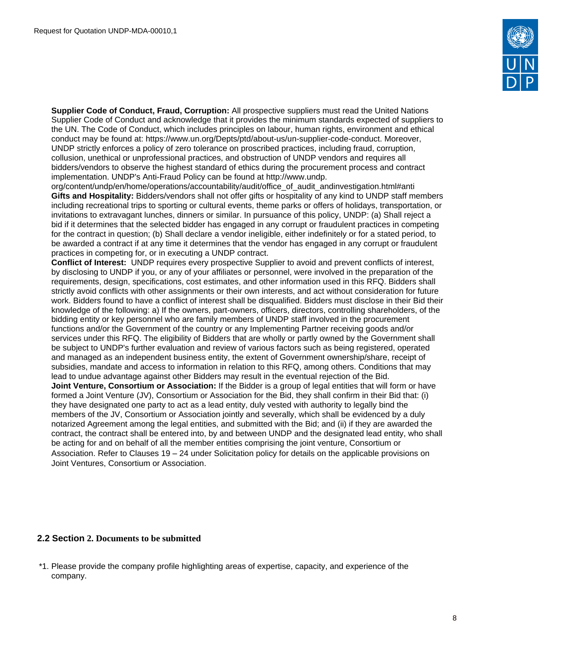

**Supplier Code of Conduct, Fraud, Corruption:** All prospective suppliers must read the United Nations Supplier Code of Conduct and acknowledge that it provides the minimum standards expected of suppliers to the UN. The Code of Conduct, which includes principles on labour, human rights, environment and ethical conduct may be found at: https://www.un.org/Depts/ptd/about-us/un-supplier-code-conduct. Moreover, UNDP strictly enforces a policy of zero tolerance on proscribed practices, including fraud, corruption, collusion, unethical or unprofessional practices, and obstruction of UNDP vendors and requires all bidders/vendors to observe the highest standard of ethics during the procurement process and contract implementation. UNDP's Anti-Fraud Policy can be found at http://www.undp.

org/content/undp/en/home/operations/accountability/audit/office\_of\_audit\_andinvestigation.html#anti **Gifts and Hospitality:** Bidders/vendors shall not offer gifts or hospitality of any kind to UNDP staff members including recreational trips to sporting or cultural events, theme parks or offers of holidays, transportation, or invitations to extravagant lunches, dinners or similar. In pursuance of this policy, UNDP: (a) Shall reject a bid if it determines that the selected bidder has engaged in any corrupt or fraudulent practices in competing for the contract in question; (b) Shall declare a vendor ineligible, either indefinitely or for a stated period, to be awarded a contract if at any time it determines that the vendor has engaged in any corrupt or fraudulent practices in competing for, or in executing a UNDP contract.

**Conflict of Interest:** UNDP requires every prospective Supplier to avoid and prevent conflicts of interest, by disclosing to UNDP if you, or any of your affiliates or personnel, were involved in the preparation of the requirements, design, specifications, cost estimates, and other information used in this RFQ. Bidders shall strictly avoid conflicts with other assignments or their own interests, and act without consideration for future work. Bidders found to have a conflict of interest shall be disqualified. Bidders must disclose in their Bid their knowledge of the following: a) If the owners, part-owners, officers, directors, controlling shareholders, of the bidding entity or key personnel who are family members of UNDP staff involved in the procurement functions and/or the Government of the country or any Implementing Partner receiving goods and/or services under this RFQ. The eligibility of Bidders that are wholly or partly owned by the Government shall be subject to UNDP's further evaluation and review of various factors such as being registered, operated and managed as an independent business entity, the extent of Government ownership/share, receipt of subsidies, mandate and access to information in relation to this RFQ, among others. Conditions that may lead to undue advantage against other Bidders may result in the eventual rejection of the Bid. **Joint Venture, Consortium or Association:** If the Bidder is a group of legal entities that will form or have formed a Joint Venture (JV), Consortium or Association for the Bid, they shall confirm in their Bid that: (i) they have designated one party to act as a lead entity, duly vested with authority to legally bind the members of the JV, Consortium or Association jointly and severally, which shall be evidenced by a duly notarized Agreement among the legal entities, and submitted with the Bid; and (ii) if they are awarded the contract, the contract shall be entered into, by and between UNDP and the designated lead entity, who shall be acting for and on behalf of all the member entities comprising the joint venture, Consortium or Association. Refer to Clauses 19 – 24 under Solicitation policy for details on the applicable provisions on Joint Ventures, Consortium or Association.

### <span id="page-7-0"></span>**2.2 Section 2. Documents to be submitted**

\*1. Please provide the company profile highlighting areas of expertise, capacity, and experience of the company.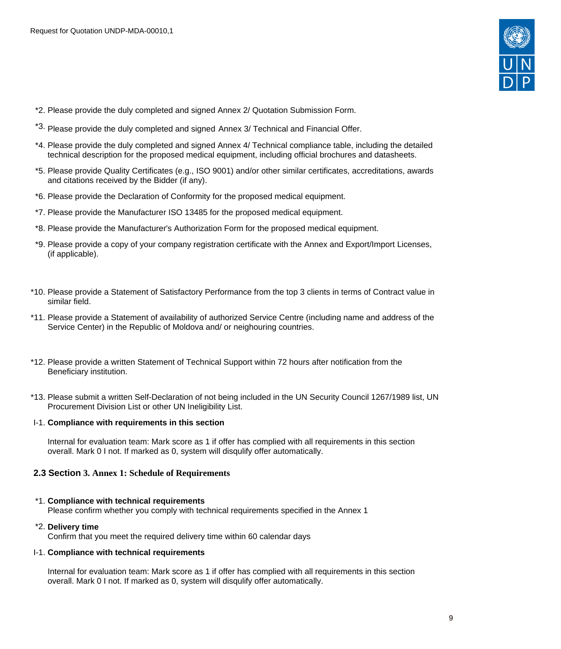

- \*2. Please provide the duly completed and signed Annex 2/ Quotation Submission Form.
- \*3. Please provide the duly completed and signed Annex 3/ Technical and Financial Offer.
- \*4. Please provide the duly completed and signed Annex 4/ Technical compliance table, including the detailed technical description for the proposed medical equipment, including official brochures and datasheets.
- \*5. Please provide Quality Certificates (e.g., ISO 9001) and/or other similar certificates, accreditations, awards and citations received by the Bidder (if any).
- \*6. Please provide the Declaration of Conformity for the proposed medical equipment.
- \*7. Please provide the Manufacturer ISO 13485 for the proposed medical equipment.
- \*8. Please provide the Manufacturer's Authorization Form for the proposed medical equipment.
- \*9. Please provide a copy of your company registration certificate with the Annex and Export/Import Licenses, (if applicable).
- \*10. Please provide a Statement of Satisfactory Performance from the top 3 clients in terms of Contract value in similar field.
- \*11. Please provide a Statement of availability of authorized Service Centre (including name and address of the Service Center) in the Republic of Moldova and/ or neighouring countries.
- \*12. Please provide a written Statement of Technical Support within 72 hours after notification from the Beneficiary institution.
- \*13. Please submit a written Self-Declaration of not being included in the UN Security Council 1267/1989 list, UN Procurement Division List or other UN Ineligibility List.

#### I-1. **Compliance with requirements in this section**

Internal for evaluation team: Mark score as 1 if offer has complied with all requirements in this section overall. Mark 0 I not. If marked as 0, system will disqulify offer automatically.

#### <span id="page-8-0"></span>**2.3 Section 3. Annex 1: Schedule of Requirements**

#### \*1. **Compliance with technical requirements**

Please confirm whether you comply with technical requirements specified in the Annex 1

#### \*2. **Delivery time**

Confirm that you meet the required delivery time within 60 calendar days

#### I-1. **Compliance with technical requirements**

Internal for evaluation team: Mark score as 1 if offer has complied with all requirements in this section overall. Mark 0 I not. If marked as 0, system will disqulify offer automatically.